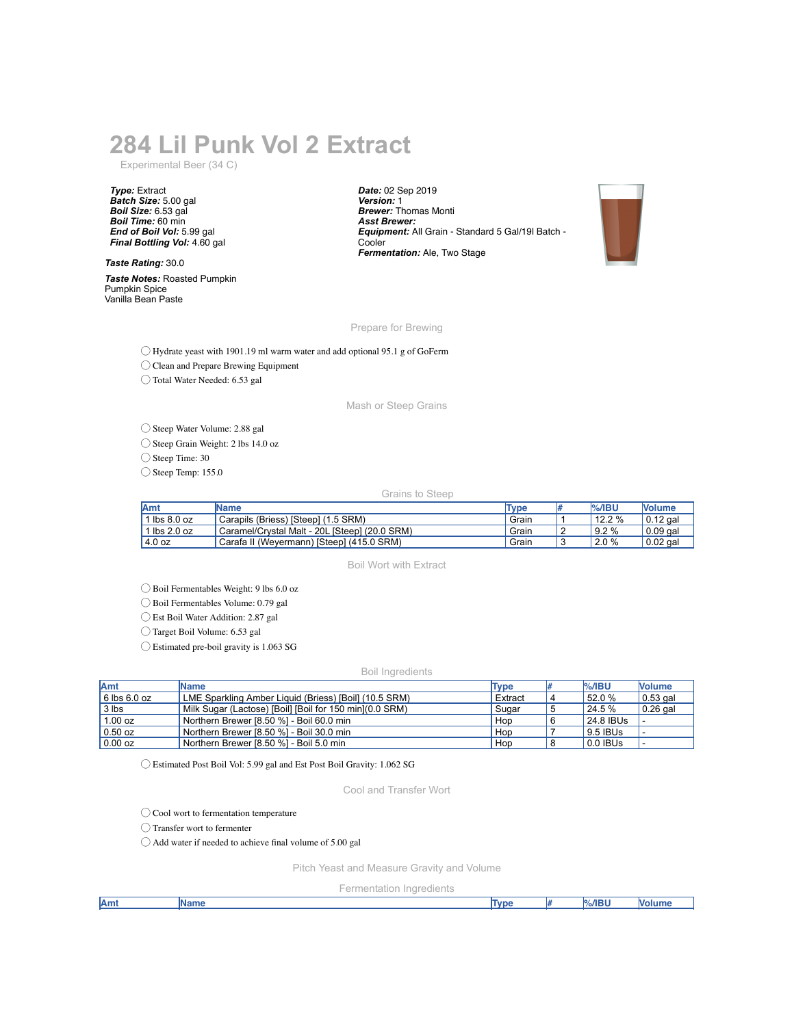# **284 Lil Punk Vol 2 Extract**

Experimental Beer (34 C)

*Type:* Extract *Batch Size:* 5.00 gal *Boil Size:* 6.53 gal *Boil Time:* 60 min *End of Boil Vol:* 5.99 gal *Final Bottling Vol:* 4.60 gal

*Taste Rating:* 30.0

*Taste Notes:* Roasted Pumpkin Pumpkin Spice Vanilla Bean Paste

*Date:* 02 Sep 2019 *Version:* 1 *Brewer:* Thomas Monti *Asst Brewer: Equipment:* All Grain - Standard 5 Gal/19l Batch - Cooler *Fermentation:* Ale, Two Stage



Prepare for Brewing

◯ Hydrate yeast with 1901.19 ml warm water and add optional 95.1 g of GoFerm

◯ Clean and Prepare Brewing Equipment

◯ Total Water Needed: 6.53 gal

Mash or Steep Grains

◯ Steep Water Volume: 2.88 gal

◯ Steep Grain Weight: 2 lbs 14.0 oz

◯ Steep Time: 30

 $\bigcirc$  Steep Temp: 155.0

#### Grains to Steep

| <b>Amt</b>                     | <b>IName</b>                                  | Tvpe  | %/IBU  | <b>Nolume</b>          |
|--------------------------------|-----------------------------------------------|-------|--------|------------------------|
| $\textsf{lbs} 8.0 \textsf{oz}$ | Carapils (Briess) [Steep] (1.5 SRM)           | Grain | 12.2 % | $\frac{1}{2}$ 0.12 gal |
| $\mathsf{lbs}$ 2.0 oz          | Caramel/Crystal Malt - 20L [Steep] (20.0 SRM) | Grain | 9.2%   | $0.09$ gal             |
| l 4.0 oz                       | Carafa II (Weyermann) [Steep] (415.0 SRM)     | Grain | 2.0%   | $\overline{0.02}$ gal  |

### Boil Wort with Extract

◯ Boil Fermentables Weight: 9 lbs 6.0 oz

◯ Boil Fermentables Volume: 0.79 gal

◯ Est Boil Water Addition: 2.87 gal

◯ Target Boil Volume: 6.53 gal

◯ Estimated pre-boil gravity is 1.063 SG

#### Boil Ingredients

| Amt              | <b>IName</b>                                             | <b>Type</b> | $%$ /IBU   | <b>Nolume</b>    |
|------------------|----------------------------------------------------------|-------------|------------|------------------|
| $6$ lbs $6.0$ oz | LME Sparkling Amber Liquid (Briess) [Boil] (10.5 SRM)    | Extract     | 52.0 %     | $\vert 0.53$ gal |
| $3$ lbs          | Milk Sugar (Lactose) [Boil] [Boil for 150 min] (0.0 SRM) | Sugar       | 24.5 %     | $0.26$ gal       |
| 1.00 oz          | Northern Brewer [8.50 %] - Boil 60.0 min                 | Hop         | 24.8 IBUs  |                  |
| $\vert$ 0.50 oz  | Northern Brewer [8.50 %] - Boil 30.0 min                 | Hop         | 9.5 IBUs   |                  |
| $\vert$ 0.00 oz  | Northern Brewer [8.50 %] - Boil 5.0 min                  | Hop         | $0.0$ IBUs |                  |

◯ Estimated Post Boil Vol: 5.99 gal and Est Post Boil Gravity: 1.062 SG

Cool and Transfer Wort

◯ Cool wort to fermentation temperature

◯ Transfer wort to fermenter

◯ Add water if needed to achieve final volume of 5.00 gal

Pitch Yeast and Measure Gravity and Volume

Fermentation Ingredients

| <b>Amt</b> | .<br>m<br>ame | Tyne |  | %/IRI | וווח |
|------------|---------------|------|--|-------|------|
|            |               |      |  |       |      |